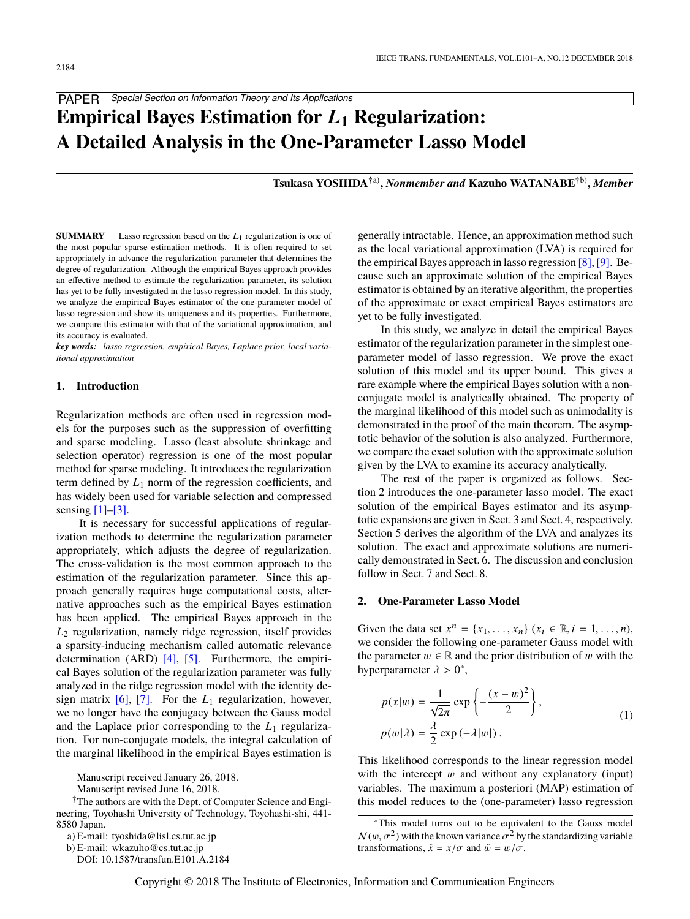

# **Empirical Bayes Estimation for** L**<sup>1</sup> Regularization: A Detailed Analysis in the One-Parameter Lasso Model**

**Tsukasa YOSHIDA**†a) **,** *Nonmember and* **Kazuho WATANABE**†b) **,** *Member*

**SUMMARY** Lasso regression based on the  $L_1$  regularization is one of the most popular sparse estimation methods. It is often required to set appropriately in advance the regularization parameter that determines the degree of regularization. Although the empirical Bayes approach provides an effective method to estimate the regularization parameter, its solution has yet to be fully investigated in the lasso regression model. In this study, we analyze the empirical Bayes estimator of the one-parameter model of lasso regression and show its uniqueness and its properties. Furthermore, we compare this estimator with that of the variational approximation, and its accuracy is evaluated.

*key words: lasso regression, empirical Bayes, Laplace prior, local variational approximation*

## **1. Introduction**

Regularization methods are often used in regression models for the purposes such as the suppression of overfitting and sparse modeling. Lasso (least absolute shrinkage and selection operator) regression is one of the most popular method for sparse modeling. It introduces the regularization term defined by  $L_1$  norm of the regression coefficients, and has widely been used for variable selection and compressed sensing  $[1]-[3]$ .

It is necessary for successful applications of regularization methods to determine the regularization parameter appropriately, which adjusts the degree of regularization. The cross-validation is the most common approach to the estimation of the regularization parameter. Since this approach generally requires huge computational costs, alternative approaches such as the empirical Bayes estimation has been applied. The empirical Bayes approach in the *L*<sup>2</sup> regularization, namely ridge regression, itself provides a sparsity-inducing mechanism called automatic relevance determination (ARD) [\[4\],](#page-5-2) [\[5\].](#page-5-3) Furthermore, the empirical Bayes solution of the regularization parameter was fully analyzed in the ridge regression model with the identity design matrix  $[6]$ ,  $[7]$ . For the  $L_1$  regularization, however, we no longer have the conjugacy between the Gauss model and the Laplace prior corresponding to the  $L_1$  regularization. For non-conjugate models, the integral calculation of the marginal likelihood in the empirical Bayes estimation is

generally intractable. Hence, an approximation method such as the local variational approximation (LVA) is required for the empirical Bayes approach in lasso regression  $[8]$ ,  $[9]$ . Because such an approximate solution of the empirical Bayes estimator is obtained by an iterative algorithm, the properties of the approximate or exact empirical Bayes estimators are yet to be fully investigated.

In this study, we analyze in detail the empirical Bayes estimator of the regularization parameter in the simplest oneparameter model of lasso regression. We prove the exact solution of this model and its upper bound. This gives a rare example where the empirical Bayes solution with a nonconjugate model is analytically obtained. The property of the marginal likelihood of this model such as unimodality is demonstrated in the proof of the main theorem. The asymptotic behavior of the solution is also analyzed. Furthermore, we compare the exact solution with the approximate solution given by the LVA to examine its accuracy analytically.

The rest of the paper is organized as follows. Section 2 introduces the one-parameter lasso model. The exact solution of the empirical Bayes estimator and its asymptotic expansions are given in Sect. 3 and Sect. 4, respectively. Section 5 derives the algorithm of the LVA and analyzes its solution. The exact and approximate solutions are numerically demonstrated in Sect. 6. The discussion and conclusion follow in Sect. 7 and Sect. 8.

# **2. One-Parameter Lasso Model**

Given the data set  $x^n = \{x_1, \ldots, x_n\}$  ( $x_i \in \mathbb{R}, i = 1, \ldots, n$ ), we consider the following one-parameter Gauss model with we consider the following one-parameter Gauss model with the parameter  $w \in \mathbb{R}$  and the prior distribution of w with the hyperparameter  $\lambda > 0^*$ ,

$$
p(x|w) = \frac{1}{\sqrt{2\pi}} \exp\left\{-\frac{(x-w)^2}{2}\right\},\
$$
  
\n
$$
p(w|\lambda) = \frac{\lambda}{2} \exp(-\lambda|w|).
$$
 (1)

This likelihood corresponds to the linear regression model with the intercept  $w$  and without any explanatory (input) variables. The maximum a posteriori (MAP) estimation of this model reduces to the (one-parameter) lasso regression

Manuscript received January 26, 2018.

Manuscript revised June 16, 2018.

<sup>†</sup>The authors are with the Dept. of Computer Science and Engineering, Toyohashi University of Technology, Toyohashi-shi, 441- 8580 Japan.

a) E-mail: tyoshida@lisl.cs.tut.ac.jp

b) E-mail: wkazuho@cs.tut.ac.jp

DOI: 10.1587/transfun.E101.A.2184

<sup>∗</sup>This model turns out to be equivalent to the Gauss model  $\mathcal{N}(w, \sigma^2)$  with the known variance  $\sigma^2$  by the standardizing variable<br>transformations  $\tilde{x} = x/\sigma$  and  $\tilde{w} = w/\sigma$ transformations,  $\tilde{x} = x/\sigma$  and  $\tilde{w} = w/\sigma$ .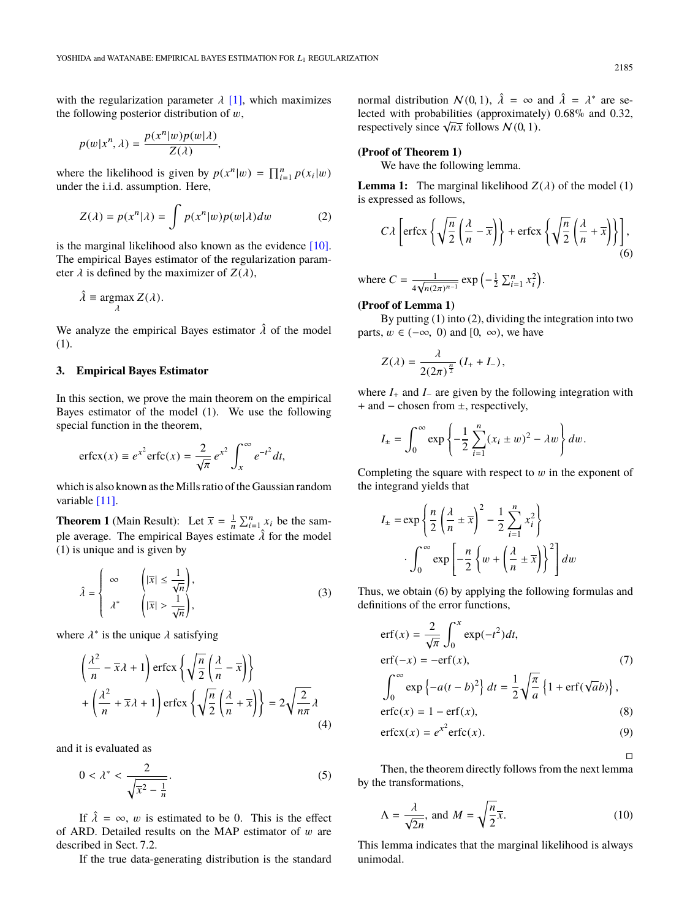with the regularization parameter  $\lambda$  [\[1\],](#page-5-0) which maximizes the following posterior distribution of  $w$ ,

$$
p(w|x^n, \lambda) = \frac{p(x^n|w)p(w|\lambda)}{Z(\lambda)},
$$

where the likelihood is given by  $p(x^n|w) = \prod_{i=1}^n p(x_i|w)$ <br>under the i.i.d. assumption. Here under the i.i.d. assumption. Here,

$$
Z(\lambda) = p(x^n|\lambda) = \int p(x^n|w)p(w|\lambda)dw
$$
 (2)

is the marginal likelihood also known as the evidence [\[10\].](#page-5-8) The empirical Bayes estimator of the regularization parameter  $\lambda$  is defined by the maximizer of  $Z(\lambda)$ ,

$$
\hat{\lambda} \equiv \underset{\lambda}{\operatorname{argmax}} Z(\lambda).
$$

We analyze the empirical Bayes estimator  $\hat{\lambda}$  of the model (1).

## **3. Empirical Bayes Estimator**

In this section, we prove the main theorem on the empirical Bayes estimator of the model (1). We use the following special function in the theorem,

$$
\operatorname{erfcx}(x) \equiv e^{x^2} \operatorname{erfc}(x) = \frac{2}{\sqrt{\pi}} e^{x^2} \int_x^{\infty} e^{-t^2} dt,
$$

which is also known as the Mills ratio of the Gaussian random variable [\[11\].](#page-5-9)

**Theorem 1** (Main Result): Let  $\overline{x} = \frac{1}{n} \sum_{i=1}^{n} x_i$  be the sample average. The empirical Bayes estimate  $\hat{\lambda}$  for the model (1) is unique and is given by

$$
\hat{\lambda} = \begin{cases}\n\infty & \left( |\overline{x}| \le \frac{1}{\sqrt{n}} \right), \\
\lambda^* & \left( |\overline{x}| > \frac{1}{\sqrt{n}} \right),\n\end{cases} (3)
$$

where  $\lambda^*$  is the unique  $\lambda$  satisfying

$$
\left(\frac{\lambda^2}{n} - \overline{x}\lambda + 1\right) \operatorname{erfcx} \left\{ \sqrt{\frac{n}{2}} \left(\frac{\lambda}{n} - \overline{x}\right) \right\}
$$

$$
+ \left(\frac{\lambda^2}{n} + \overline{x}\lambda + 1\right) \operatorname{erfcx} \left\{ \sqrt{\frac{n}{2}} \left(\frac{\lambda}{n} + \overline{x}\right) \right\} = 2\sqrt{\frac{2}{n\pi}}\lambda
$$
(4)

and it is evaluated as

$$
0 < \lambda^* < \frac{2}{\sqrt{\overline{x^2} - \frac{1}{n}}}.\tag{5}
$$

If  $\hat{\lambda} = \infty$ , w is estimated to be 0. This is the effect of ARD. Detailed results on the MAP estimator of  $w$  are described in Sect. 7.2.

If the true data-generating distribution is the standard

normal distribution  $\mathcal{N}(0, 1)$ ,  $\hat{\lambda} = \infty$  and  $\hat{\lambda} = \lambda^*$  are se-<br>lected with probabilities (approximately) 0.68% and 0.32 lected with probabilities (approximately) 0.68% and 0.32, respectively since  $\sqrt{n\overline{x}}$  follows  $N(0, 1)$ .

# **(Proof of Theorem 1)**

We have the following lemma.

**Lemma 1:** The marginal likelihood  $Z(\lambda)$  of the model (1) is expressed as follows,

$$
C\lambda \left[ \text{erfcx} \left\{ \sqrt{\frac{n}{2}} \left( \frac{\lambda}{n} - \overline{x} \right) \right\} + \text{erfcx} \left\{ \sqrt{\frac{n}{2}} \left( \frac{\lambda}{n} + \overline{x} \right) \right\} \right],
$$
(6)

where  $C = \frac{1}{\sqrt{2}}$  $\frac{1}{4}$  $\frac{1}{(n(2\pi)^{n-1}} \exp\left(-\frac{1}{2} \sum_{i=1}^{n} x_i^2\right).$ 

#### **(Proof of Lemma 1)**

By putting (1) into (2), dividing the integration into two parts,  $w \in (-\infty, 0)$  and [0, ∞), we have

$$
Z(\lambda) = \frac{\lambda}{2(2\pi)^{\frac{n}{2}}}\left(I_{+} + I_{-}\right),
$$

where *I*<sup>+</sup> and *I*<sup>−</sup> are given by the following integration with + and − chosen from ±, respectively,

$$
I_{\pm} = \int_0^{\infty} \exp\left\{-\frac{1}{2}\sum_{i=1}^n(x_i \pm w)^2 - \lambda w\right\} dw.
$$

Completing the square with respect to  $w$  in the exponent of the integrand yields that

$$
I_{\pm} = \exp\left\{\frac{n}{2}\left(\frac{\lambda}{n} \pm \overline{x}\right)^2 - \frac{1}{2}\sum_{i=1}^n x_i^2\right\}
$$

$$
\cdot \int_0^\infty \exp\left[-\frac{n}{2}\left\{w + \left(\frac{\lambda}{n} \pm \overline{x}\right)\right\}^2\right] dw
$$

Thus, we obtain (6) by applying the following formulas and definitions of the error functions,

$$
erf(x) = \frac{2}{\sqrt{\pi}} \int_0^x exp(-t^2) dt,
$$
  
\n
$$
erf(-x) = -erf(x),
$$
\n
$$
\int_0^\infty exp\{-a(t-b)^2\} dt = \frac{1}{2} \sqrt{\frac{\pi}{a}} \{1 + erf(\sqrt{ab})\},
$$
  
\n
$$
erfc(x) = 1 - erf(x),
$$
\n(8)

$$
\operatorname{erfcx}(x) = e^{x^2} \operatorname{erfc}(x). \tag{9}
$$

 $\Box$ 

Then, the theorem directly follows from the next lemma by the transformations,

$$
\Lambda = \frac{\lambda}{\sqrt{2n}}, \text{ and } M = \sqrt{\frac{n}{2}}\overline{x}.\tag{10}
$$

This lemma indicates that the marginal likelihood is always unimodal.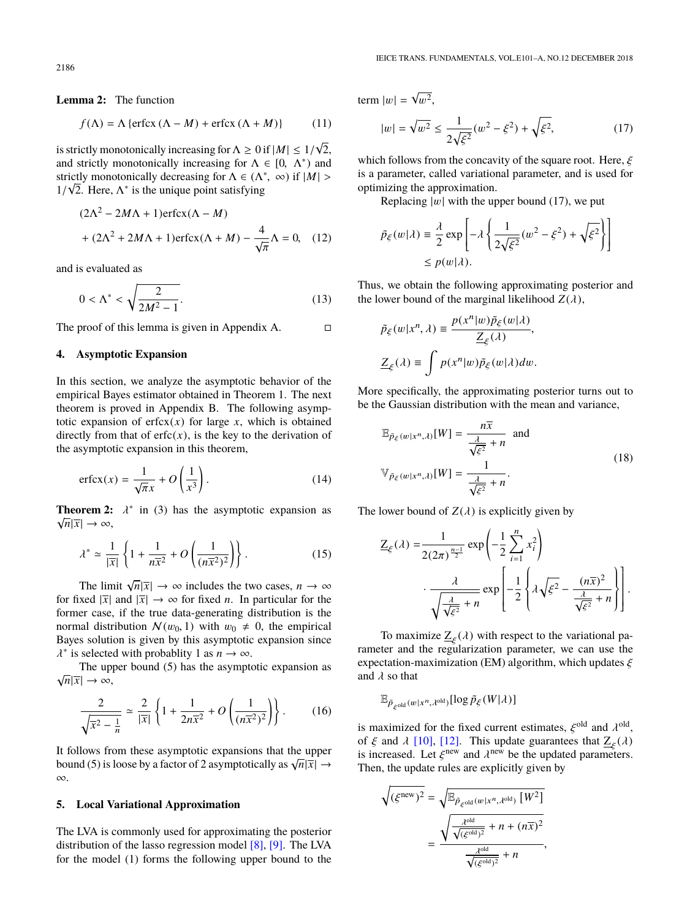**Lemma 2:** The function

$$
f(\Lambda) = \Lambda \{ \text{erfcx} \left( \Lambda - M \right) + \text{erfcx} \left( \Lambda + M \right) \} \tag{11}
$$

is strictly monotonically increasing for  $\Lambda \geq 0$  if  $|M| \leq 1/n$ <br>and strictly monotonically increasing for  $\Lambda \in [0, \Lambda^*)$ 2, and strictly monotonically increasing for  $\Lambda \in [0, \Lambda^*)$  and strictly monotonically decreasing for  $\Lambda \in (\Lambda^* \cap \mathcal{O})$  if  $|M| >$ strictly monotonically decreasing for  $\Lambda \in (\Lambda^*, \infty)$  if  $|M| > 1/\sqrt{2}$ . Here  $\Lambda^*$  is the unique point satisfying  $1/\sqrt{2}$ . Here,  $\Lambda^*$  is the unique point satisfying

$$
(2\Lambda^2 - 2M\Lambda + 1)\text{erfcx}(\Lambda - M)
$$

$$
+ (2\Lambda^2 + 2M\Lambda + 1)\text{erfcx}(\Lambda + M) - \frac{4}{\sqrt{\pi}}\Lambda = 0, \quad (12)
$$

and is evaluated as

$$
0 < \Lambda^* < \sqrt{\frac{2}{2M^2 - 1}}.\tag{13}
$$

The proof of this lemma is given in Appendix A.  $\Box$ 

#### **4. Asymptotic Expansion**

In this section, we analyze the asymptotic behavior of the empirical Bayes estimator obtained in Theorem 1. The next theorem is proved in Appendix B. The following asymptotic expansion of  $erfcx(x)$  for large *x*, which is obtained directly from that of  $erfc(x)$ , is the key to the derivation of the asymptotic expansion in this theorem,

$$
\operatorname{erfcx}(x) = \frac{1}{\sqrt{\pi}x} + O\left(\frac{1}{x^3}\right). \tag{14}
$$

**Theorem 2:**  $\lambda^*$  in (3) has the asymptotic expansion as  $\sqrt{n} |\overline{x}| \rightarrow \infty$  $\sqrt{n}|\overline{x}| \to \infty$ ,

$$
\lambda^* \simeq \frac{1}{|\overline{x}|} \left\{ 1 + \frac{1}{n\overline{x}^2} + O\left(\frac{1}{(n\overline{x}^2)^2}\right) \right\}.
$$
 (15)

The limit  $\sqrt{n}|\bar{x}| \to \infty$  includes the two cases,  $n \to \infty$ for fixed  $|\overline{x}|$  and  $|\overline{x}| \rightarrow \infty$  for fixed *n*. In particular for the former case, if the true data-generating distribution is the normal distribution  $N(w_0, 1)$  with  $w_0 \neq 0$ , the empirical Bayes solution is given by this asymptotic expansion since <sup>\*</sup> is selected with probablity 1 as  $n \to \infty$ .

The upper bound (5) has the asymptotic expansion as  $\sqrt{n}|\overline{x}| \to \infty$ ,

$$
\frac{2}{\sqrt{\overline{x^2} - \frac{1}{n}}} \simeq \frac{2}{|\overline{x}|} \left\{ 1 + \frac{1}{2n\overline{x}^2} + O\left(\frac{1}{(n\overline{x}^2)^2}\right) \right\}.
$$
 (16)

It follows from these asymptotic expansions that the upper bound (5) is loose by a factor of 2 asymptotically as  $\sqrt{n}|\vec{x}| \rightarrow$ ∞.

#### **5. Local Variational Approximation**

The LVA is commonly used for approximating the posterior distribution of the lasso regression model [\[8\],](#page-5-6) [\[9\].](#page-5-7) The LVA for the model (1) forms the following upper bound to the

term  $|w|$  = √  $w^2$ ,

√

$$
|w| = \sqrt{w^2} \le \frac{1}{2\sqrt{\xi^2}} (w^2 - \xi^2) + \sqrt{\xi^2},
$$
 (17)

which follows from the concavity of the square root. Here,  $\xi$ is a parameter, called variational parameter, and is used for optimizing the approximation.

Replacing  $|w|$  with the upper bound (17), we put

$$
\tilde{p}_{\xi}(w|\lambda) \equiv \frac{\lambda}{2} \exp\left[-\lambda \left\{\frac{1}{2\sqrt{\xi^2}}(w^2 - \xi^2) + \sqrt{\xi^2}\right\}\right]
$$
  

$$
\leq p(w|\lambda).
$$

Thus, we obtain the following approximating posterior and the lower bound of the marginal likelihood  $Z(\lambda)$ ,

$$
\tilde{p}_{\xi}(w|x^n,\lambda) \equiv \frac{p(x^n|w)\tilde{p}_{\xi}(w|\lambda)}{\underline{Z}_{\xi}(\lambda)},
$$
  

$$
\underline{Z}_{\xi}(\lambda) \equiv \int p(x^n|w)\tilde{p}_{\xi}(w|\lambda)dw.
$$

More specifically, the approximating posterior turns out to be the Gaussian distribution with the mean and variance,

$$
\mathbb{E}_{\tilde{p}_{\xi}(w|x^n,\lambda)}[W] = \frac{n\overline{x}}{\frac{\lambda}{\sqrt{\xi^2}} + n} \text{ and}
$$
\n
$$
\mathbb{V}_{\tilde{p}_{\xi}(w|x^n,\lambda)}[W] = \frac{1}{\frac{\lambda}{\sqrt{\xi^2}} + n}.
$$
\n(18)

The lower bound of  $Z(\lambda)$  is explicitly given by

$$
\underline{Z}_{\xi}(\lambda) = \frac{1}{2(2\pi)^{\frac{n-1}{2}}} \exp\left(-\frac{1}{2} \sum_{i=1}^{n} x_i^2\right)
$$

$$
\cdot \frac{\lambda}{\sqrt{\frac{\lambda}{\sqrt{\xi^2}} + n}} \exp\left[-\frac{1}{2} \left\{\lambda \sqrt{\xi^2} - \frac{(n\overline{x})^2}{\frac{\lambda}{\sqrt{\xi^2}} + n}\right\}\right].
$$

To maximize  $\mathbb{Z}_{\xi}(\lambda)$  with respect to the variational pa-<br>ter and the regularization parameter, we can use the rameter and the regularization parameter, we can use the expectation-maximization (EM) algorithm, which updates  $\xi$ and  $\lambda$  so that

$$
\mathbb{E}_{\tilde{p}_{\xi} \text{old}}(w|x^n, \lambda^{\text{old}})}[\log \tilde{p}_{\xi}(W|\lambda)]
$$

ξ

is maximized for the fixed current estimates,  $\xi^{\text{old}}$  and  $\lambda^{\text{old}}$ ,<br>of  $\xi$  and  $\lambda$  [10], [12]. This undate guarantees that  $\mathbf{Z}$  ( $\lambda$ ) of  $\xi$  and  $\lambda$  [\[10\],](#page-5-8) [\[12\].](#page-5-10) This update guarantees that  $Z_{\xi}(\lambda)$ <br>is increased. Let  $\xi^{\text{new}}$  and  $\lambda^{\text{new}}$  be the undated parameters is increased. Let  $\xi^{\text{new}}$  and  $\lambda^{\text{new}}$  be the updated parameters.<br>Then, the update rules are explicitly given by Then, the update rules are explicitly given by

$$
\sqrt{(\xi^{\text{new}})^2} = \sqrt{\mathbb{E}_{\tilde{P}_{\xi^{\text{old}}}(w|x^n, \lambda^{\text{old}})} [W^2]} \\
= \frac{\sqrt{\frac{\lambda^{\text{old}}}{\sqrt{(\xi^{\text{old}})^2}} + n + (n\overline{x})^2}}{\frac{\lambda^{\text{old}}}{\sqrt{(\xi^{\text{old}})^2}} + n},
$$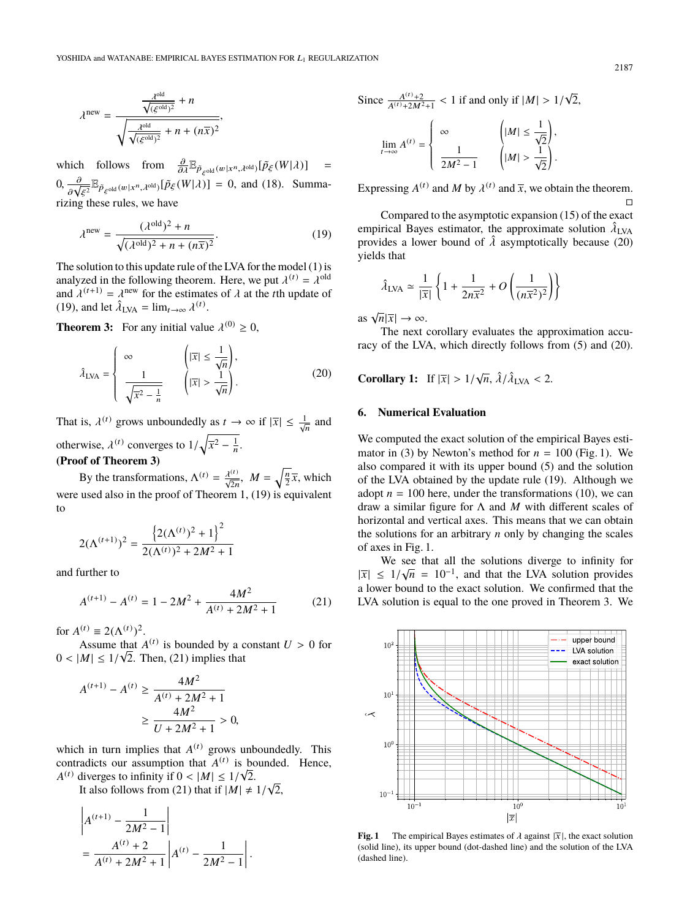$$
\lambda^{\text{new}} = \frac{\frac{\lambda^{\text{old}}}{\sqrt{(\xi^{\text{old}})^2} + n}}{\sqrt{\frac{\lambda^{\text{old}}}{\sqrt{(\xi^{\text{old}})^2} + n + (n\overline{x})^2}}},
$$

which follows from  $\frac{\partial}{\partial \lambda} \mathbb{E}_{\tilde{P}_{\xi} \text{old}}(w|x^n, \lambda^{\text{old}}) [\tilde{P}_{\xi}(W|\lambda)] =$  $(0, \frac{\partial}{\partial \sqrt{\xi^2}} \mathbb{E}_{\tilde{P}_{\xi} \text{old}}(w|x^n, \lambda^{\text{old}}) [\tilde{P}_{\xi}(W|\lambda)] = 0$ , and (18). Summarizing these rules, we have

$$
\lambda^{\text{new}} = \frac{(\lambda^{\text{old}})^2 + n}{\sqrt{(\lambda^{\text{old}})^2 + n + (n\overline{x})^2}}.
$$
 (19)

The solution to this update rule of the LVA for the model (1) is analyzed in the following theorem. Here, we put  $\lambda^{(t)} = \lambda^{\text{old}}$ <br>and  $\lambda^{(t+1)} = \lambda^{\text{new}}$  for the estimates of  $\lambda$  at the tth undate of and  $\lambda^{(t+1)} = \lambda^{\text{new}}$  for the estimates of  $\lambda$  at the *t*th update of (19) and let  $\hat{\lambda}_{1}$   $\lambda_{1} = \lim_{x \to \infty} \lambda^{(t)}$ (19), and let  $\hat{\lambda}_{LVA} = \lim_{t \to \infty} \lambda^{(t)}$ .

**Theorem 3:** For any initial value  $\lambda^{(0)} \ge 0$ ,

$$
\hat{\lambda}_{\text{LVA}} = \begin{cases}\n\infty & \left(|\overline{x}| \le \frac{1}{\sqrt{n}}\right), \\
\frac{1}{\sqrt{\overline{x^2} - \frac{1}{n}}} & \left(|\overline{x}| > \frac{1}{\sqrt{n}}\right).\n\end{cases}
$$
\n(20)

That is,  $\lambda^{(t)}$  grows unboundedly as  $t \to \infty$  if  $|\overline{x}| \le \frac{1}{\sqrt{n}}$  and otherwise,  $\lambda^{(t)}$  converges to  $1/\sqrt{\overline{x^2 - \frac{1}{n}}}$ . **(Proof of Theorem 3)**

By the transformations,  $\Lambda^{(t)} = \frac{\lambda^{(t)}}{\sqrt{2n}}$ ,  $M = \sqrt{\frac{n}{2}}\overline{x}$ , which were used also in the proof of Theorem 1, (19) is equivalent to

$$
2(\Lambda^{(t+1)})^2 = \frac{\left\{2(\Lambda^{(t)})^2 + 1\right\}^2}{2(\Lambda^{(t)})^2 + 2M^2 + 1}
$$

and further to

$$
A^{(t+1)} - A^{(t)} = 1 - 2M^2 + \frac{4M^2}{A^{(t)} + 2M^2 + 1}
$$
 (21)

for  $A^{(t)} \equiv 2(\Lambda^{(t)})^2$ .

Assume that  $A^{(t)}$  is bounded by a constant  $U > 0$  for  $M \leq 1/\sqrt{2}$ . Then (21) implies that  $0 < |M| \leq 1/\sqrt{2}$ . Then, (21) implies that

$$
A^{(t+1)} - A^{(t)} \ge \frac{4M^2}{A^{(t)} + 2M^2 + 1}
$$
  
 
$$
\ge \frac{4M^2}{U + 2M^2 + 1} > 0,
$$

which in turn implies that  $A^{(t)}$  grows unboundedly. This contradicts our assumption that  $A^{(t)}$  is bounded. Hence,  $A^{(t)}$  diverges to infinity if  $0 < |M| \leq 1/\sqrt{2}$ .<br>It also follows from (21) that if  $|M| \neq$ 

It also follows from (21) that if  $|M| \neq 1/\sqrt{1}$ <br>It also follows from (21) that if  $|M| \neq 1/\sqrt{1}$ 2,

$$
\left| A^{(t+1)} - \frac{1}{2M^2 - 1} \right|
$$
  
= 
$$
\frac{A^{(t)} + 2}{A^{(t)} + 2M^2 + 1} \left| A^{(t)} - \frac{1}{2M^2 - 1} \right|.
$$

Since  $\frac{A^{(t)}+2}{A^{(t)}+2M^2}$  $\frac{A^{(t)}+2}{A^{(t)}+2M^2+1}$  < 1 if and only if  $|M| > 1/$ 2,

$$
\lim_{t\to\infty}A^{(t)}=\left\{\begin{array}{ll}\infty & \qquad \left(|M|\leq \frac{1}{\sqrt{2}}\right), \\[1em] \frac{1}{2M^2-1} & \qquad \left(|M|>\frac{1}{\sqrt{2}}\right).\end{array}\right.
$$

Expressing  $A^{(t)}$  and *M* by  $\lambda^{(t)}$  and  $\overline{x}$ , we obtain the theorem.  $\Box$ 

Compared to the asymptotic expansion (15) of the exact empirical Bayes estimator, the approximate solution  $\hat{\lambda}_{LVA}$ <br>provides a lower bound of  $\hat{\lambda}$  asymptotically because (20) provides a lower bound of  $\hat{\lambda}$  asymptotically because (20) yields that

$$
\hat{\lambda}_{\text{LVA}} \simeq \frac{1}{|\overline{x}|} \left\{ 1 + \frac{1}{2n\overline{x}^2} + O\left(\frac{1}{(n\overline{x}^2)^2}\right) \right\}
$$

as  $\sqrt{n}|\overline{x}| \to \infty$ .

The next corollary evaluates the approximation accuracy of the LVA, which directly follows from (5) and (20).

**Corollary 1:** If  $|\overline{x}| > 1/\sqrt{n}$ ,  $\hat{\lambda}/\hat{\lambda}_{LVA} < 2$ .

# **6. Numerical Evaluation**

We computed the exact solution of the empirical Bayes estimator in (3) by Newton's method for  $n = 100$  (Fig. 1). We also compared it with its upper bound (5) and the solution of the LVA obtained by the update rule (19). Although we adopt  $n = 100$  here, under the transformations (10), we can draw a similar figure for Λ and *M* with different scales of horizontal and vertical axes. This means that we can obtain the solutions for an arbitrary *n* only by changing the scales of axes in Fig. 1.

We see that all the solutions diverge to infinity for  $\frac{1}{2}$   $\frac{1}{2}$   $\frac{1}{2}$   $\frac{1}{2}$   $\frac{1}{2}$   $\frac{1}{2}$   $\frac{1}{2}$   $\frac{1}{2}$   $\frac{1}{2}$   $\frac{1}{2}$   $\frac{1}{2}$   $\frac{1}{2}$   $\frac{1}{2}$   $\frac{1}{2}$   $\frac{1}{2}$   $\frac{1}{2}$   $\frac{1}{2$  $|\overline{x}| \leq 1/\sqrt{n} = 10^{-1}$ , and that the LVA solution provides a lower bound to the exact solution. We confirmed that the a lower bound to the exact solution. We confirmed that the LVA solution is equal to the one proved in Theorem 3. We



**Fig. 1** The empirical Bayes estimates of  $\lambda$  against  $|\overline{x}|$ , the exact solution (solid line), its upper bound (dot-dashed line) and the solution of the LVA (dashed line).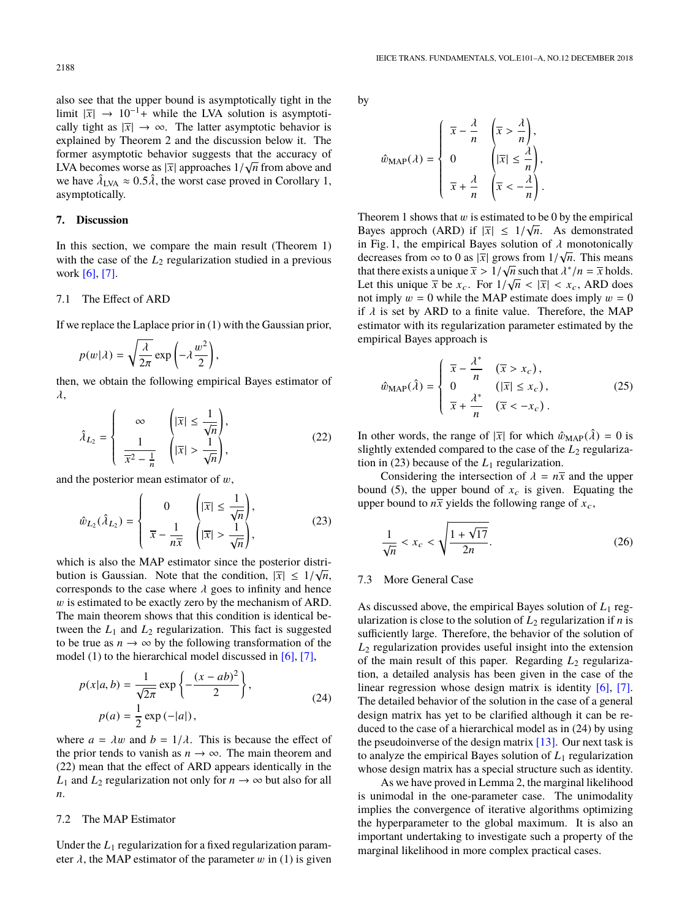also see that the upper bound is asymptotically tight in the limit  $|\overline{x}|$  → 10<sup>-1</sup>+ while the LVA solution is asymptotically tight as  $|\overline{x}| \rightarrow \infty$ . The latter asymptotic behavior is explained by Theorem 2 and the discussion below it. The former asymptotic behavior suggests that the accuracy of LVA becomes worse as  $|\overline{x}|$  approaches  $1/\sqrt{n}$  from above and we have  $\hat{\lambda}_{NN} \approx 0.5 \hat{\lambda}$  the worst case proved in Corollary 1. we have  $\hat{\lambda}_{\text{LVA}} \approx 0.5 \hat{\lambda}$ , the worst case proved in Corollary 1, asymptotically asymptotically.

#### **7. Discussion**

In this section, we compare the main result (Theorem 1) with the case of the  $L_2$  regularization studied in a previous work [\[6\],](#page-5-4) [\[7\].](#page-5-5)

#### 7.1 The Effect of ARD

If we replace the Laplace prior in (1) with the Gaussian prior,

$$
p(w|\lambda) = \sqrt{\frac{\lambda}{2\pi}} \exp\left(-\lambda \frac{w^2}{2}\right),
$$

then, we obtain the following empirical Bayes estimator of  $\lambda$ .

$$
\hat{\lambda}_{L_2} = \begin{cases}\n\infty & \left( |\overline{x}| \le \frac{1}{\sqrt{n}} \right), \\
\frac{1}{\overline{x}^2 - \frac{1}{n}} & \left( |\overline{x}| > \frac{1}{\sqrt{n}} \right),\n\end{cases} (22)
$$

and the posterior mean estimator of  $w$ ,

$$
\hat{w}_{L_2}(\hat{\lambda}_{L_2}) = \begin{cases}\n0 & \left(|\overline{x}| \le \frac{1}{\sqrt{n}}\right), \\
\overline{x} - \frac{1}{n\overline{x}} & \left(|\overline{x}| > \frac{1}{\sqrt{n}}\right),\n\end{cases}
$$
\n(23)

which is also the MAP estimator since the posterior distribution is Gaussian. Note that the condition,  $|\overline{x}| \leq 1/\sqrt{n}$ , corresponds to the case where  $\lambda$  goes to infinity and hence corresponds to the case where  $\lambda$  goes to infinity and hence w is estimated to be exactly zero by the mechanism of ARD. The main theorem shows that this condition is identical between the  $L_1$  and  $L_2$  regularization. This fact is suggested to be true as  $n \to \infty$  by the following transformation of the model (1) to the hierarchical model discussed in [\[6\],](#page-5-4) [\[7\],](#page-5-5)

$$
p(x|a, b) = \frac{1}{\sqrt{2\pi}} \exp\left\{-\frac{(x - ab)^2}{2}\right\},\
$$
  
\n
$$
p(a) = \frac{1}{2} \exp(-|a|),
$$
\n(24)

where  $a = \lambda w$  and  $b = 1/\lambda$ . This is because the effect of the prior tends to vanish as  $n \to \infty$ . The main theorem and (22) mean that the effect of ARD appears identically in the *L*<sub>1</sub> and *L*<sub>2</sub> regularization not only for  $n \to \infty$  but also for all *n*.

#### 7.2 The MAP Estimator

Under the  $L_1$  regularization for a fixed regularization parameter  $\lambda$ , the MAP estimator of the parameter w in (1) is given by

$$
\hat{w}_{MAP}(\lambda) = \begin{cases} \overline{x} - \frac{\lambda}{n} & \left(\overline{x} > \frac{\lambda}{n}\right), \\ 0 & \left(|\overline{x}| \le \frac{\lambda}{n}\right), \\ \overline{x} + \frac{\lambda}{n} & \left(\overline{x} < -\frac{\lambda}{n}\right). \end{cases}
$$

Theorem 1 shows that w is estimated to be 0 by the empirical<br>Bayes, approch (ARD) if  $|\nabla| < 1/\sqrt{n}$ . As demonstrated Bayes approch (ARD) if  $|\overline{x}| \leq 1/\sqrt{n}$ . As demonstrated<br>in Fig. 1, the empirical Bayes solution of  $\lambda$  monotonically in Fig. 1, the empirical Bayes solution of  $\lambda$  monotonically<br>decreases from  $\infty$  to 0 as  $|\overline{x}|$  grows from  $1/\sqrt{n}$ . This means decreases from  $\infty$  to 0 as  $|\overline{x}|$  grows from  $1/\sqrt{n}$ . This means<br>that there exists a unique  $\overline{x} > 1/\sqrt{n}$  such that  $\lambda^*/n = \overline{x}$  holds that there exists a unique  $\overline{x} > 1/\sqrt{n}$  such that  $\lambda^*/n = \overline{x}$  holds.<br>Let this unique  $\overline{x}$  be  $x = \text{For } 1/\sqrt{n} < |\overline{x}| < x$ . ARD does Let this unique  $\bar{x}$  be  $x_c$ . For  $1/\sqrt{n} < |\bar{x}| < x_c$ , ARD does not imply  $m = 0$  while the MAP estimate does imply  $m = 0$ not imply  $w = 0$  while the MAP estimate does imply  $w = 0$ if  $\lambda$  is set by ARD to a finite value. Therefore, the MAP estimator with its regularization parameter estimated by the empirical Bayes approach is

$$
\hat{w}_{\text{MAP}}(\hat{\lambda}) = \begin{cases}\n\overline{x} - \frac{\lambda^*}{n} & (\overline{x} > x_c), \\
0 & (\vert \overline{x} \vert \le x_c), \\
\overline{x} + \frac{\lambda^*}{n} & (\overline{x} < -x_c).\n\end{cases}
$$
\n(25)

In other words, the range of  $|\overline{x}|$  for which  $\hat{w}_{MAP}(\hat{\lambda}) = 0$  is slightly extended compared to the case of the  $L_2$  regularization in (23) because of the  $L_1$  regularization.

Considering the intersection of  $\lambda = n\overline{x}$  and the upper bound (5), the upper bound of  $x_c$  is given. Equating the upper bound to  $n\bar{x}$  yields the following range of  $x_c$ ,

$$
\frac{1}{\sqrt{n}} < x_c < \sqrt{\frac{1 + \sqrt{17}}{2n}}.\tag{26}
$$

#### 7.3 More General Case

As discussed above, the empirical Bayes solution of *L*<sup>1</sup> regularization is close to the solution of  $L_2$  regularization if *n* is sufficiently large. Therefore, the behavior of the solution of *L*<sup>2</sup> regularization provides useful insight into the extension of the main result of this paper. Regarding *L*<sup>2</sup> regularization, a detailed analysis has been given in the case of the linear regression whose design matrix is identity [\[6\],](#page-5-4) [\[7\].](#page-5-5) The detailed behavior of the solution in the case of a general design matrix has yet to be clarified although it can be reduced to the case of a hierarchical model as in (24) by using the pseudoinverse of the design matrix  $[13]$ . Our next task is to analyze the empirical Bayes solution of  $L_1$  regularization whose design matrix has a special structure such as identity.

As we have proved in Lemma 2, the marginal likelihood is unimodal in the one-parameter case. The unimodality implies the convergence of iterative algorithms optimizing the hyperparameter to the global maximum. It is also an important undertaking to investigate such a property of the marginal likelihood in more complex practical cases.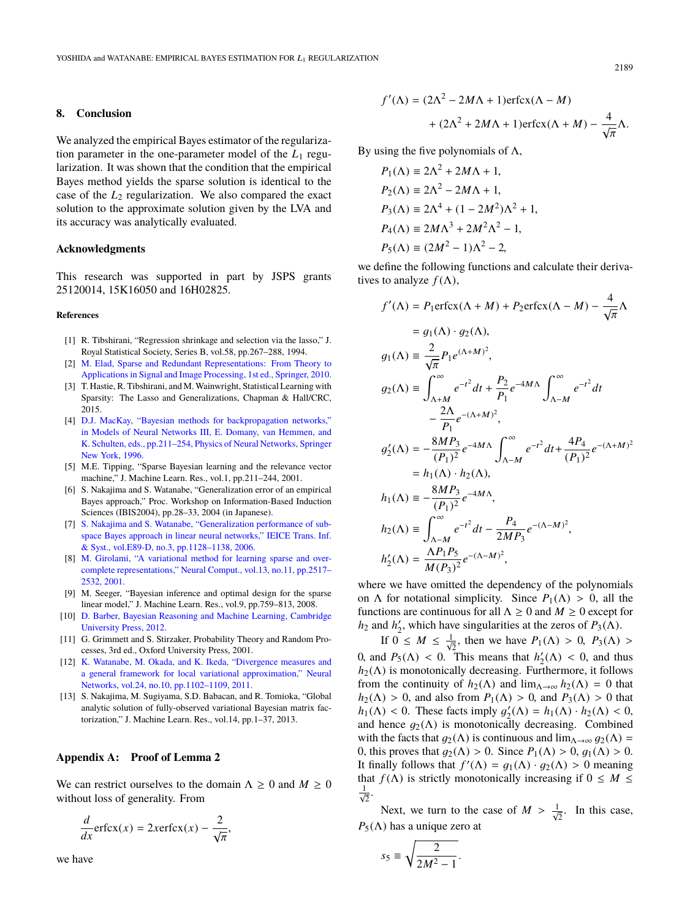#### **8. Conclusion**

We analyzed the empirical Bayes estimator of the regularization parameter in the one-parameter model of the  $L_1$  regularization. It was shown that the condition that the empirical Bayes method yields the sparse solution is identical to the case of the *L*<sup>2</sup> regularization. We also compared the exact solution to the approximate solution given by the LVA and its accuracy was analytically evaluated.

# **Acknowledgments**

This research was supported in part by JSPS grants 25120014, 15K16050 and 16H02825.

#### **References**

- <span id="page-5-0"></span>[1] R. Tibshirani, "Regression shrinkage and selection via the lasso," J. Royal Statistical Society, Series B, vol.58, pp.267–288, 1994.
- [2] [M. Elad, Sparse and Redundant Representations: From Theory to](http://dx.doi.org/10.1007/978-1-4419-7011-4_9) [Applications in Signal and Image Processing, 1st ed., Springer, 2010.](http://dx.doi.org/10.1007/978-1-4419-7011-4_9)
- <span id="page-5-1"></span>[3] T. Hastie, R. Tibshirani, and M.Wainwright, Statistical Learning with Sparsity: The Lasso and Generalizations, Chapman & Hall/CRC, 2015.
- <span id="page-5-2"></span>[4] [D.J. MacKay, "Bayesian methods for backpropagation networks,"](http://dx.doi.org/10.1007/978-1-4612-0723-8_6) [in Models of Neural Networks III, E. Domany, van Hemmen, and](http://dx.doi.org/10.1007/978-1-4612-0723-8_6) [K. Schulten, eds., pp.211–254, Physics of Neural Networks, Springer](http://dx.doi.org/10.1007/978-1-4612-0723-8_6) [New York, 1996.](http://dx.doi.org/10.1007/978-1-4612-0723-8_6)
- <span id="page-5-3"></span>[5] M.E. Tipping, "Sparse Bayesian learning and the relevance vector machine," J. Machine Learn. Res., vol.1, pp.211–244, 2001.
- <span id="page-5-4"></span>[6] S. Nakajima and S. Watanabe, "Generalization error of an empirical Bayes approach," Proc. Workshop on Information-Based Induction Sciences (IBIS2004), pp.28–33, 2004 (in Japanese).
- <span id="page-5-5"></span>[7] [S. Nakajima and S. Watanabe, "Generalization performance of sub](http://dx.doi.org/10.1093/ietisy/e89-d.3.1128)[space Bayes approach in linear neural networks," IEICE Trans. Inf.](http://dx.doi.org/10.1093/ietisy/e89-d.3.1128) [& Syst., vol.E89-D, no.3, pp.1128–1138, 2006.](http://dx.doi.org/10.1093/ietisy/e89-d.3.1128)
- <span id="page-5-6"></span>[8] [M. Girolami, "A variational method for learning sparse and over](http://dx.doi.org/10.1162/089976601753196003)[complete representations," Neural Comput., vol.13, no.11, pp.2517–](http://dx.doi.org/10.1162/089976601753196003) [2532, 2001.](http://dx.doi.org/10.1162/089976601753196003)
- <span id="page-5-7"></span>[9] M. Seeger, "Bayesian inference and optimal design for the sparse linear model," J. Machine Learn. Res., vol.9, pp.759–813, 2008.
- <span id="page-5-8"></span>[10] [D. Barber, Bayesian Reasoning and Machine Learning, Cambridge](http://dx.doi.org/10.1017/cbo9780511804779.038) [University Press, 2012.](http://dx.doi.org/10.1017/cbo9780511804779.038)
- <span id="page-5-9"></span>[11] G. Grimmett and S. Stirzaker, Probability Theory and Random Processes, 3rd ed., Oxford University Press, 2001.
- <span id="page-5-10"></span>[12] [K. Watanabe, M. Okada, and K. Ikeda, "Divergence measures and](http://dx.doi.org/10.1016/j.neunet.2011.06.004) [a general framework for local variational approximation," Neural](http://dx.doi.org/10.1016/j.neunet.2011.06.004) [Networks, vol.24, no.10, pp.1102–1109, 2011.](http://dx.doi.org/10.1016/j.neunet.2011.06.004)
- <span id="page-5-11"></span>[13] S. Nakajima, M. Sugiyama, S.D. Babacan, and R. Tomioka, "Global analytic solution of fully-observed variational Bayesian matrix factorization," J. Machine Learn. Res., vol.14, pp.1–37, 2013.

## **Appendix A: Proof of Lemma 2**

We can restrict ourselves to the domain  $\Lambda \geq 0$  and  $M \geq 0$ without loss of generality. From

$$
\frac{d}{dx}\text{erfcx}(x) = 2x\text{erfcx}(x) - \frac{2}{\sqrt{\pi}},
$$

we have

$$
f'(\Lambda) = (2\Lambda^2 - 2M\Lambda + 1)\text{erfcx}(\Lambda - M)
$$

$$
+ (2\Lambda^2 + 2M\Lambda + 1)\text{erfcx}(\Lambda + M) - \frac{4}{\sqrt{\pi}}\Lambda.
$$

By using the five polynomials of  $\Lambda$ ,

$$
P_1(\Lambda) \equiv 2\Lambda^2 + 2M\Lambda + 1,
$$
  
\n
$$
P_2(\Lambda) \equiv 2\Lambda^2 - 2M\Lambda + 1,
$$
  
\n
$$
P_3(\Lambda) \equiv 2\Lambda^4 + (1 - 2M^2)\Lambda^2 + 1,
$$
  
\n
$$
P_4(\Lambda) \equiv 2M\Lambda^3 + 2M^2\Lambda^2 - 1,
$$
  
\n
$$
P_5(\Lambda) \equiv (2M^2 - 1)\Lambda^2 - 2,
$$

we define the following functions and calculate their derivatives to analyze  $f(\Lambda)$ ,

$$
f'(\Lambda) = P_1 \text{erfcx}(\Lambda + M) + P_2 \text{erfcx}(\Lambda - M) - \frac{4}{\sqrt{\pi}} \Lambda
$$
  
\n
$$
= g_1(\Lambda) \cdot g_2(\Lambda),
$$
  
\n
$$
g_1(\Lambda) = \frac{2}{\sqrt{\pi}} P_1 e^{(\Lambda + M)^2},
$$
  
\n
$$
g_2(\Lambda) = \int_{\Lambda + M}^{\infty} e^{-t^2} dt + \frac{P_2}{P_1} e^{-4M\Lambda} \int_{\Lambda - M}^{\infty} e^{-t^2} dt
$$
  
\n
$$
- \frac{2\Lambda}{P_1} e^{-(\Lambda + M)^2},
$$
  
\n
$$
g'_2(\Lambda) = -\frac{8MP_3}{(P_1)^2} e^{-4M\Lambda} \int_{\Lambda - M}^{\infty} e^{-t^2} dt + \frac{4P_4}{(P_1)^2} e^{-(\Lambda + M)^2}
$$
  
\n
$$
= h_1(\Lambda) \cdot h_2(\Lambda),
$$
  
\n
$$
h_1(\Lambda) = -\frac{8MP_3}{(P_1)^2} e^{-4M\Lambda},
$$
  
\n
$$
h_2(\Lambda) = \int_{\Lambda - M}^{\infty} e^{-t^2} dt - \frac{P_4}{2MP_3} e^{-(\Lambda - M)^2},
$$
  
\n
$$
h'_2(\Lambda) = \frac{\Lambda P_1 P_5}{M(P_3)^2} e^{-(\Lambda - M)^2},
$$

where we have omitted the dependency of the polynomials on  $\Lambda$  for notational simplicity. Since  $P_1(\Lambda) > 0$ , all the functions are continuous for all  $\Lambda \geq 0$  and  $M \geq 0$  except for  $h_2$  and  $h'_2$ , which have singularities at the zeros of  $P_3(\Lambda)$ .

If  $0 \leq M \leq \frac{1}{\sqrt{2}}$ , then we have  $P_1(\Lambda) > 0$ ,  $P_3(\Lambda) >$ <br>  $\frac{1}{\sqrt{2}}P_1(\Lambda) > 0$ ,  $P_2(\Lambda) > 0$ 0, and  $P_5(\Lambda) < 0$ . This means that  $h'_2(\Lambda) < 0$ , and thus  $h_2(\Lambda)$  is monotonically decreasing. Furthermore, it follows  $h_2(\Lambda)$  is monotonically decreasing. Furthermore, it follows from the continuity of  $h_2(\Lambda)$  and  $\lim_{\Lambda \to \infty} h_2(\Lambda) = 0$  that  $h_2(\Lambda) > 0$ , and also from  $P_1(\Lambda) > 0$ , and  $P_3(\Lambda) > 0$  that  $h_1(\Lambda) < 0$ . These facts imply  $g'_2(\Lambda) = h_1(\Lambda) \cdot h_2(\Lambda) < 0$ , and hence  $g_2(\Lambda)$  is monotonically decreasing. Combined and hence  $g_2(\Lambda)$  is monotonically decreasing. Combined with the facts that  $g_2(\Lambda)$  is continuous and  $\lim_{\Lambda\to\infty} g_2(\Lambda) =$ 0, this proves that  $g_2(\Lambda) > 0$ . Since  $P_1(\Lambda) > 0$ ,  $g_1(\Lambda) > 0$ . It finally follows that  $f'(\Lambda) = g_1(\Lambda) \cdot g_2(\Lambda) > 0$  meaning<br>that  $f(\Lambda)$  is strictly monotonically increasing if  $0 \le M \le$ that  $f(\Lambda)$  is strictly monotonically increasing if  $0 \leq M \leq$  $\frac{1}{\sqrt{2}}$ .

Next, we turn to the case of  $M > \frac{1}{\sqrt{2}}$ . In this case,  $P_5(\Lambda)$  has a unique zero at

$$
s_5 \equiv \sqrt{\frac{2}{2M^2 - 1}}.
$$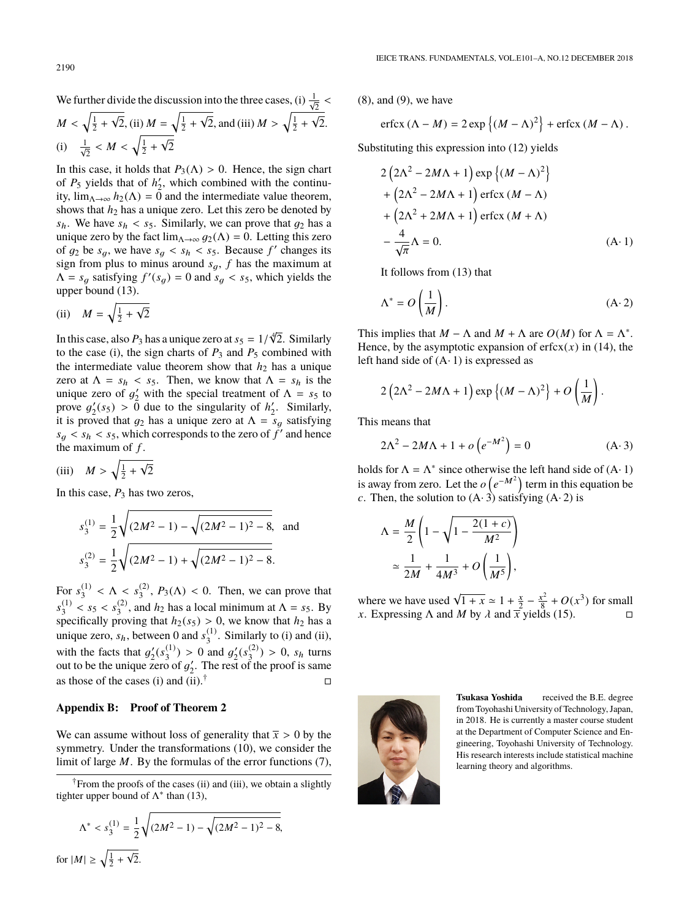We further divide the discussion into the three cases, (i)  $\frac{1}{\sqrt{N}}$  $\frac{2}{\sqrt{2}}$  $M < \sqrt{\frac{1}{2} + \frac{1}{2}}$ √  $\frac{1}{2}$ , (ii)  $M = \sqrt{\frac{1}{2} + \frac{1}{2}}$ √  $\overline{2}$ , and (iii)  $M > \sqrt{\frac{1}{2} + \frac{1}{2}}$ √ 2. (i)  $\frac{1}{\sqrt{2}} < M < \sqrt{\frac{1}{2}} + \frac{1}{2}$ √ 2

In this case, it holds that  $P_3(\Lambda) > 0$ . Hence, the sign chart of  $P_5$  yields that of  $h'_2$ , which combined with the continuity,  $\lim_{\Lambda \to \infty} h_2(\Lambda) = \overline{0}$  and the intermediate value theorem, shows that  $h_2$  has a unique zero. Let this zero be denoted by  $s_h$ . We have  $s_h < s_5$ . Similarly, we can prove that  $g_2$  has a unique zero by the fact  $\lim_{\Lambda \to \infty} g_2(\Lambda) = 0$ . Letting this zero of  $g_2$  be  $s_g$ , we have  $s_g < s_h < s_5$ . Because  $f'$  changes its<br>sign from plus to minus around  $s_+$ , f has the maximum at sign from plus to minus around  $s_g$ ,  $f$  has the maximum at  $\Lambda = s_g$  satisfying  $f'(s_g) = 0$  and  $s_g < s_5$ , which yields the upper bound (13).

(ii) 
$$
M = \sqrt{\frac{1}{2} + \sqrt{2}}
$$

In this case, also  $P_3$  has a unique zero at  $s_5 = 1/$ <br>to the case (i) the sign charts of  $P_2$  and  $P_5$  co √4 2. Similarly to the case (i), the sign charts of  $P_3$  and  $P_5$  combined with the intermediate value theorem show that  $h_2$  has a unique zero at  $\Lambda = s_h < s_5$ . Then, we know that  $\Lambda = s_h$  is the unique zero of  $g'_2$  with the special treatment of  $\Lambda = s_5$  to prove  $g'(s_5) > 0$  due to the singularity of  $h'$ . Similarly prove  $g'_2(s_5) > 0$  due to the singularity of  $h'_2$ . Similarly,<br>it is proved that  $a_2$  has a unique zero at  $\Lambda = s_2$  satisfying it is proved that  $g_2$  has a unique zero at  $\Lambda = s_q$  satisfying  $s_g < s_h < s_5$ , which corresponds to the zero of  $\tilde{f}'$  and hence the maximum of  $f$ the maximum of *f* .

$$
(iii) \quad M > \sqrt{\frac{1}{2} + \sqrt{2}}
$$

In this case,  $P_3$  has two zeros,

$$
s_3^{(1)} = \frac{1}{2} \sqrt{(2M^2 - 1) - \sqrt{(2M^2 - 1)^2 - 8}},
$$
 and  

$$
s_3^{(2)} = \frac{1}{2} \sqrt{(2M^2 - 1) + \sqrt{(2M^2 - 1)^2 - 8}}.
$$

For  $s_3^{(1)}$ (1)  $< \Lambda < s_3^{(2)}$  $\binom{2}{3}$ ,  $P_3(\Lambda) < 0$ . Then, we can prove that  $s_3^{(1)}$  $s_3^{(1)} < s_5 < s_3^{(2)}$ <br>pecifically pro  $\binom{2}{3}$ , and  $h_2$  has a local minimum at  $\Lambda = s_5$ . By specifically proving that  $h_2(s_5) > 0$ , we know that  $h_2$  has a unique zero,  $s_h$ , between 0 and  $s_3^{(1)}$ . Similarly to (i) and (ii),  $_3^{(1)}$ . Similarly to (i) and (ii), with the facts that  $g'_2(s_3^{(1)})$ <br>out to be the unique zero of  $(g_3^{(1)}) > 0$  and  $g_2'(s_3^{(2)})$ <br>o of a' The rest of the  $\binom{2}{3}$  > 0,  $s_h$  turns out to be the unique zero of  $g'_2$ . The rest of the proof is same<br>as those of the asses (i) and (ii)  $\uparrow$ as those of the cases (i) and (ii).<sup>†</sup>

#### **Appendix B: Proof of Theorem 2**

We can assume without loss of generality that  $\bar{x} > 0$  by the symmetry. Under the transformations (10), we consider the limit of large *M*. By the formulas of the error functions (7),

†From the proofs of the cases (ii) and (iii), we obtain a slightly tighter upper bound of  $\Lambda^*$  than (13),

$$
\Lambda^* < s_3^{(1)} = \frac{1}{2} \sqrt{(2M^2 - 1) - \sqrt{(2M^2 - 1)^2 - 8}},
$$
\n
$$
\text{for } |M| \ge \sqrt{\frac{1}{2} + \sqrt{2}}.
$$

(8), and (9), we have

$$
\operatorname{erfcx} (\Lambda - M) = 2 \exp \left\{ (M - \Lambda)^2 \right\} + \operatorname{erfcx} (M - \Lambda).
$$

Substituting this expression into (12) yields

$$
2\left(2\Lambda^2 - 2M\Lambda + 1\right) \exp\left\{(M - \Lambda)^2\right\}
$$
  
+  $\left(2\Lambda^2 - 2M\Lambda + 1\right) \operatorname{erfcx} (M - \Lambda)$   
+  $\left(2\Lambda^2 + 2M\Lambda + 1\right) \operatorname{erfcx} (M + \Lambda)$   
-  $\frac{4}{\sqrt{\pi}}\Lambda = 0.$  (A·1)

It follows from (13) that

$$
\Lambda^* = O\left(\frac{1}{M}\right). \tag{A-2}
$$

This implies that  $M - \Lambda$  and  $M + \Lambda$  are  $O(M)$  for  $\Lambda = \Lambda^*$ . Hence, by the asymptotic expansion of  $erfcx(x)$  in (14), the left hand side of  $(A \cdot 1)$  is expressed as

$$
2\left(2\Lambda^2 - 2M\Lambda + 1\right)\exp\left\{(M - \Lambda)^2\right\} + O\left(\frac{1}{M}\right).
$$

This means that

$$
2\Lambda^2 - 2M\Lambda + 1 + o\left(e^{-M^2}\right) = 0\tag{A-3}
$$

holds for  $\Lambda = \Lambda^*$  since otherwise the left hand side of  $(A \cdot 1)$ is away from zero. Let the  $o(e^{-M^2})$  term in this equation be *c*. Then, the solution to  $(A \cdot 3)$  satisfying  $(A \cdot 2)$  is

$$
\Lambda = \frac{M}{2} \left( 1 - \sqrt{1 - \frac{2(1+c)}{M^2}} \right)
$$

$$
\approx \frac{1}{2M} + \frac{1}{4M^3} + O\left(\frac{1}{M^5}\right),
$$

where we have used  $\sqrt{1 + x} \approx 1 + \frac{x}{2} - \frac{x^2}{8}$  $\frac{x^2}{8} + O(x^3)$  for small *x*. Expressing  $\Lambda$  and  $\overline{M}$  by  $\lambda$  and  $\overline{\overline{x}}$  yields (15).



**Tsukasa Yoshida** received the B.E. degree from Toyohashi University of Technology, Japan, in 2018. He is currently a master course student at the Department of Computer Science and Engineering, Toyohashi University of Technology. His research interests include statistical machine learning theory and algorithms.